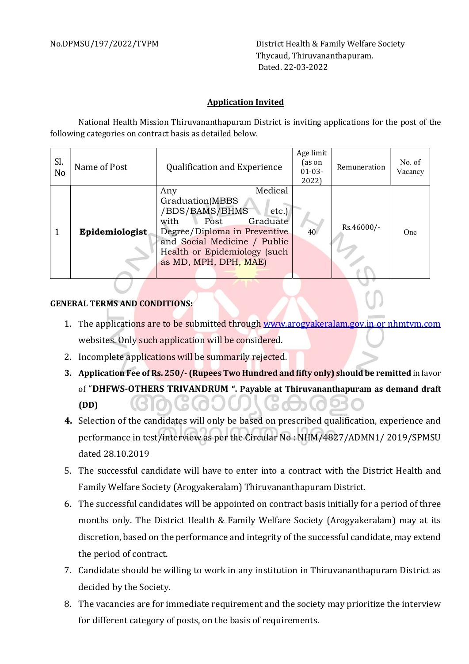No.DPMSU/197/2022/TVPM District Health & Family Welfare Society Thycaud, Thiruvananthapuram. Dated. 22-03-2022

## Application Invited

National Health Mission Thiruvananthapuram District is inviting applications for the post of the following categories on contract basis as detailed below.

| Sl.<br>N <sub>o</sub> | Name of Post   | <b>Qualification and Experience</b>                                                                                                                                                                              | Age limit<br>(as on<br>$01 - 03 -$<br>2022) | Remuneration | No. of<br>Vacancy |
|-----------------------|----------------|------------------------------------------------------------------------------------------------------------------------------------------------------------------------------------------------------------------|---------------------------------------------|--------------|-------------------|
|                       | Epidemiologist | Medical<br>Any<br>Graduation(MBBS<br>/BDS/BAMS/BHMS<br>etc.<br>Graduate<br>with<br>Post<br>Degree/Diploma in Preventive<br>and Social Medicine / Public<br>Health or Epidemiology (such<br>as MD, MPH, DPH, MAE) | 40                                          | Rs.46000/-   | One               |

## GENERAL TERMS AND CONDITIONS:

- 1. The applications are to be submitted through www.arogyakeralam.gov.in or nhmtvm.com websites. Only such application will be considered.
- 2. Incomplete applications will be summarily rejected.
- 3. Application Fee of Rs. 250/- (Rupees Two Hundred and fifty only) should be remitted in favor of "DHFWS-OTHERS TRIVANDRUM ". Payable at Thiruvananthapuram as demand draft (DD)
- 4. Selection of the candidates will only be based on prescribed qualification, experience and performance in test/interview as per the Circular No : NHM/4827/ADMN1/ 2019/SPMSU dated 28.10.2019
- 5. The successful candidate will have to enter into a contract with the District Health and Family Welfare Society (Arogyakeralam) Thiruvananthapuram District.
- 6. The successful candidates will be appointed on contract basis initially for a period of three months only. The District Health & Family Welfare Society (Arogyakeralam) may at its discretion, based on the performance and integrity of the successful candidate, may extend the period of contract.
- 7. Candidate should be willing to work in any institution in Thiruvananthapuram District as decided by the Society.
- 8. The vacancies are for immediate requirement and the society may prioritize the interview for different category of posts, on the basis of requirements.